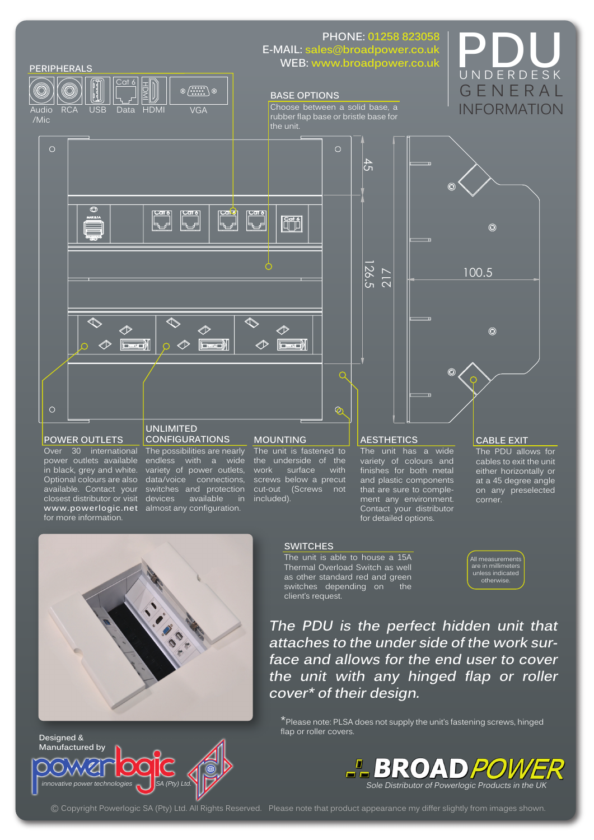

# ⋒ 100.5  $\widehat{\odot}$

UNDERDESK

**GENERAL** INFORMATION

### **POWER OUTLETS**

 $\circ$ 

∥

╱

 $\Box$ 

Over 30 international power outlets available in black, grey and white. Optional colours are also available. Contact your closest distributor or visit **www.powerlogic.net**  for more information.

**Designed & Manufactured by**

> $\subset$  $\bigcirc$

### **UNLIMITED CONFIGURATIONS**

╱

The possibilities are nearly endless with a wide variety of power outlets, data/voice connections, switches and protection devices available in almost any configuration.

l Fa

T)

∥

### **MOUNTING**

The unit is fastened to the underside of the<br>work surface with work surface screws below a precut cut-out (Screws not included).

## **AESTHETICS**

The unit has a wide variety of colours and finishes for both metal and plastic components that are sure to complement any environment. Contact your distributor for detailed options.

### **CABLE EXIT**

The PDU allows for cables to exit the unit either horizontally or at a 45 degree angle on any preselected corner.



### **SWITCHES**

The unit is able to house a 15A Thermal Overload Switch as well as other standard red and green switches depending on the client's request.

All measurement are in millimeters unless indicated otherwise.

**The PDU is the perfect hidden unit that attaches to the under side of the work surface and allows for the end user to cover the unit with any hinged flap or roller cover the coverage of the unit is the perfect of the unit is respectively.**<br> **cover the set of the unit has underside** of the unit has underside of the variety of cold was below a precuit and plastic cover and plastic con

\*Please note: PLSA does not supply the unit's fastening screws, hinged flap or roller covers.



© Copyright Powerlogic SA (Pty) Ltd. All Rights Reserved. Please note that product appearance my differ slightly from images shown.